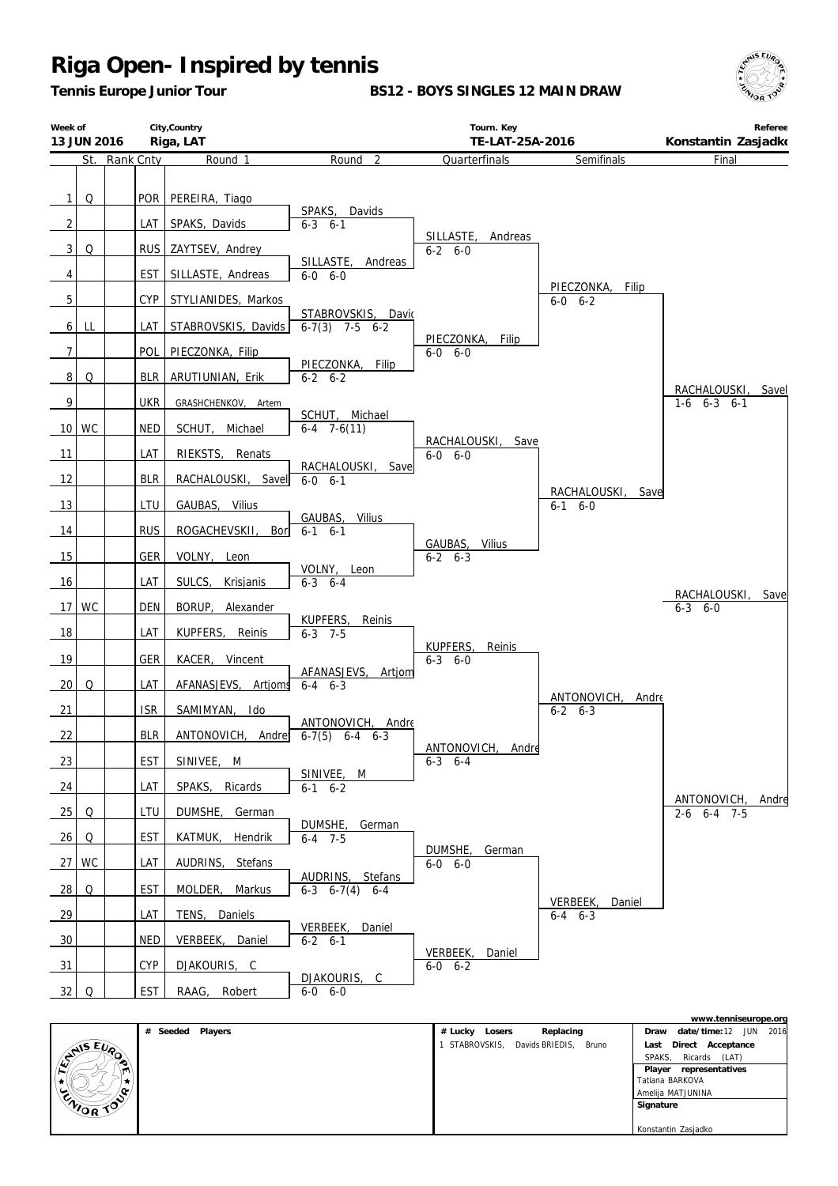*Tennis Europe Junior Tour*

**BS12 - BOYS SINGLES 12 MAIN DRAW**



| Week of                             | City, Country<br>Riga, LAT<br>13 JUN 2016 |            |                                 | Tourn. Key<br>TE-LAT-25A-2016            |                                    | Konstantin Zasjadko                | Referee                           |       |
|-------------------------------------|-------------------------------------------|------------|---------------------------------|------------------------------------------|------------------------------------|------------------------------------|-----------------------------------|-------|
|                                     | St. Rank Cnty                             |            | Round 1                         | Round <sub>2</sub>                       | Quarterfinals                      | Semifinals                         | Final                             |       |
| $\mathbf{1}$<br>Q<br>$\overline{2}$ |                                           | POR<br>LAT | PEREIRA, Tiago<br>SPAKS, Davids | SPAKS, Davids<br>$6 - 3$ $6 - 1$         |                                    |                                    |                                   |       |
| $\mathbf{3}$<br>Q                   |                                           | <b>RUS</b> | ZAYTSEV, Andrey                 |                                          | SILLASTE, Andreas<br>$6 - 2 6 - 0$ |                                    |                                   |       |
| 4                                   |                                           | EST        | SILLASTE, Andreas               | SILLASTE, Andreas<br>$6-0$ $6-0$         |                                    |                                    |                                   |       |
| 5                                   |                                           | <b>CYP</b> | STYLIANIDES, Markos             |                                          |                                    | PIECZONKA,<br>Filip<br>$6-0$ $6-2$ |                                   |       |
| LL<br>6 <sup>1</sup>                |                                           | LAT        | STABROVSKIS, Davids             | STABROVSKIS, David<br>$6-7(3)$ 7-5 $6-2$ |                                    |                                    |                                   |       |
| 7                                   |                                           | <b>POL</b> | PIECZONKA, Filip                |                                          | PIECZONKA, Filip<br>$6-0$ $6-0$    |                                    |                                   |       |
| 8 <sup>1</sup><br>Q                 |                                           | <b>BLR</b> | ARUTIUNIAN, Erik                | PIECZONKA, Filip<br>$6 - 2 6 - 2$        |                                    |                                    |                                   | Savel |
| $\overline{9}$                      |                                           | <b>UKR</b> | GRASHCHENKOV, Artem             | SCHUT, Michael                           |                                    |                                    | RACHALOUSKI,<br>$1-6$ $6-3$ $6-1$ |       |
| 10 WC                               |                                           | <b>NED</b> | SCHUT, Michael                  | $6-4$ 7-6(11)                            | RACHALOUSKI,<br>Save               |                                    |                                   |       |
| 11                                  |                                           | LAT        | RIEKSTS, Renats                 | RACHALOUSKI, Save                        | $6 - 0 6 - 0$                      |                                    |                                   |       |
| 12                                  |                                           | <b>BLR</b> | RACHALOUSKI, Savel              | $6-0$ $6-1$                              |                                    | RACHALOUSKI, Save                  |                                   |       |
| 13                                  |                                           | LTU        | GAUBAS, Vilius                  | GAUBAS,<br>Vilius                        |                                    | $6-1$ $6-0$                        |                                   |       |
| 14                                  |                                           | <b>RUS</b> | ROGACHEVSKII,<br>Bori           | $6-1$ $6-1$                              | GAUBAS,<br>Vilius                  |                                    |                                   |       |
| 15                                  |                                           | GER        | VOLNY, Leon                     | VOLNY, Leon                              | $6 - 2 6 - 3$                      |                                    |                                   |       |
| 16                                  |                                           | LAT        | SULCS, Krisjanis                | $6 - 3$ $6 - 4$                          |                                    |                                    | RACHALOUSKI, Save                 |       |
| 17 <sup>1</sup><br><b>WC</b>        |                                           | <b>DEN</b> | BORUP, Alexander                | KUPFERS,<br>Reinis                       |                                    |                                    | $6 - 3 6 - 0$                     |       |
| 18                                  |                                           | LAT        | KUPFERS, Reinis                 | $6 - 3$ 7-5                              | KUPFERS,<br>Reinis                 |                                    |                                   |       |
| 19                                  |                                           | <b>GER</b> | KACER, Vincent                  | AFANASJEVS,<br>Artjom                    | $6 - 3 6 - 0$                      |                                    |                                   |       |
| 20<br>Q                             |                                           | LAT        | AFANASJEVS, Artjoms             | $6 - 4$ $6 - 3$                          |                                    | ANTONOVICH,<br>Andre               |                                   |       |
| 21                                  |                                           | <b>ISR</b> | SAMIMYAN, Ido                   | ANTONOVICH, Andre                        |                                    | $6 - 2 6 - 3$                      |                                   |       |
| 22                                  |                                           | <b>BLR</b> | ANTONOVICH, Andre               | $6-7(5)$ $6-4$ $6-3$                     | ANTONOVICH, Andre                  |                                    |                                   |       |
| 23                                  |                                           | EST        | SINIVEE, M                      | SINIVEE, M                               | $6-3$ $6-4$                        |                                    |                                   |       |
| 24                                  |                                           | LAT        | SPAKS, Ricards                  | $6-1$ $6-2$                              |                                    |                                    | ANTONOVICH, Andre                 |       |
| 25<br>Q                             |                                           | LTU        | DUMSHE, German                  | DUMSHE, German                           |                                    |                                    | $2-6$ 6-4 7-5                     |       |
| 26<br>Q                             |                                           | EST        | KATMUK, Hendrik                 | $6 - 4$ 7-5                              | DUMSHE,<br>German                  |                                    |                                   |       |
| 27 WC                               |                                           | LAT        | AUDRINS, Stefans                | AUDRINS, Stefans                         | $6-0$ $6-0$                        |                                    |                                   |       |
| 28<br>Q                             |                                           | <b>EST</b> | MOLDER, Markus                  | $6-3$ $6-7(4)$ $6-4$                     |                                    | VERBEEK,<br>Daniel                 |                                   |       |
| 29                                  |                                           | LAT        | TENS, Daniels                   | VERBEEK, Daniel                          |                                    | $6-4$ $6-3$                        |                                   |       |
| $\frac{30}{2}$                      |                                           | NED        | VERBEEK, Daniel                 | $6 - 2 6 - 1$                            | VERBEEK,<br>Daniel                 |                                    |                                   |       |
| 31                                  |                                           | <b>CYP</b> | DJAKOURIS, C                    | DJAKOURIS, C                             | $6-0$ $6-2$                        |                                    |                                   |       |
| 32<br>Q                             |                                           | <b>EST</b> | RAAG, Robert                    | $6-0$ $6-0$                              |                                    |                                    |                                   |       |

|                        |                                          | www.tenniseurope.org              |
|------------------------|------------------------------------------|-----------------------------------|
| # Seeded<br>Players    | Replacing<br># Lucky<br>Losers           | date/time: 12 JUN<br>2016<br>Draw |
| $E_{\nu}$              | STABROVSKIS,<br>Davids BRIEDIS,<br>Bruno | Direct<br>Acceptance<br>Last      |
| <b>SAIS</b><br>۰.<br>ಾ |                                          | Ricards (LAT)<br>SPAKS.           |
| ۰.                     |                                          | Player<br>representatives         |
|                        |                                          | Tatiana BARKOVA                   |
| ΙŒ.                    |                                          | Amelija MATJUNINA                 |
| ENIOR TOP              |                                          | Signature                         |
|                        |                                          |                                   |
|                        |                                          | Konstantin Zasjadko               |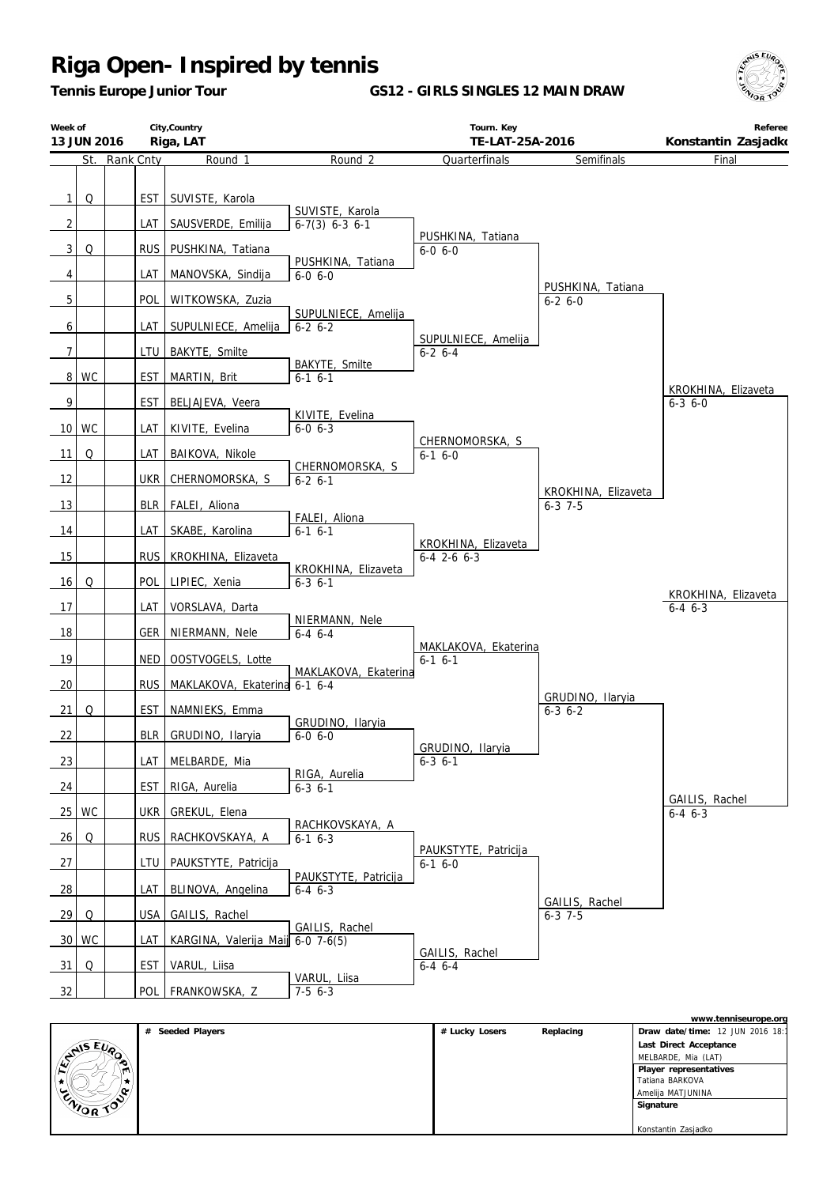*Tennis Europe Junior Tour*

**GS12 - GIRLS SINGLES 12 MAIN DRAW**



|                                | City, Country<br>Week of<br>Riga, LAT<br>13 JUN 2016 |                  |                                       | Tourn. Key<br>TE-LAT-25A-2016           |                                     | Referee<br>Konstantin Zasjadko     |                               |
|--------------------------------|------------------------------------------------------|------------------|---------------------------------------|-----------------------------------------|-------------------------------------|------------------------------------|-------------------------------|
|                                |                                                      | St. Rank Cnty    | Round 1                               | Round <sub>2</sub>                      | Quarterfinals                       | Semifinals                         | Final                         |
| $\mathbf{1}$<br>$\overline{2}$ | Q                                                    | EST<br>LAT       | SUVISTE, Karola<br>SAUSVERDE, Emilija | SUVISTE, Karola<br>$6-7(3)$ $6-3$ $6-1$ |                                     |                                    |                               |
|                                |                                                      |                  |                                       |                                         | PUSHKINA, Tatiana                   |                                    |                               |
| $\mathbf{3}$                   | Q                                                    | <b>RUS</b>       | PUSHKINA, Tatiana                     | PUSHKINA, Tatiana                       | $6 - 0 6 - 0$                       |                                    |                               |
| 4                              |                                                      | LAT              | MANOVSKA, Sindija                     | $6 - 0 6 - 0$                           |                                     | PUSHKINA, Tatiana                  |                               |
| 5                              |                                                      | <b>POL</b>       | WITKOWSKA, Zuzia                      | SUPULNIECE, Amelija                     |                                     | $6 - 26 - 0$                       |                               |
| 6                              |                                                      | LAT              | SUPULNIECE, Amelija                   | $6 - 2 6 - 2$                           | SUPULNIECE, Amelija                 |                                    |                               |
| 7                              |                                                      | LTU              | BAKYTE, Smilte                        | BAKYTE, Smilte                          | $6 - 26 - 4$                        |                                    |                               |
| 8                              | <b>WC</b>                                            | <b>EST</b>       | MARTIN, Brit                          | $6-1$ $6-1$                             |                                     |                                    | KROKHINA, Elizaveta           |
| 9                              |                                                      | <b>EST</b>       | BELJAJEVA, Veera                      |                                         |                                     |                                    | $6 - 3$ $6 - 0$               |
|                                | 10 WC                                                | LAT              | KIVITE, Evelina                       | KIVITE, Evelina<br>$6 - 0 6 - 3$        |                                     |                                    |                               |
| 11                             | Q                                                    | LAT              | BAIKOVA, Nikole                       |                                         | CHERNOMORSKA, S<br>$6-1$ $6-0$      |                                    |                               |
| 12                             |                                                      | <b>UKR</b>       | CHERNOMORSKA, S                       | CHERNOMORSKA, S<br>$6-2$ 6-1            |                                     |                                    |                               |
| 13                             |                                                      | <b>BLR</b>       | FALEI, Aliona                         |                                         |                                     | KROKHINA, Elizaveta<br>$6 - 3$ 7-5 |                               |
| 14                             |                                                      | LAT              | SKABE, Karolina                       | FALEI, Aliona<br>$6-1$ $6-1$            |                                     |                                    |                               |
|                                |                                                      | RUS <sup>I</sup> |                                       |                                         | KROKHINA, Elizaveta                 |                                    |                               |
| 15                             |                                                      |                  | KROKHINA, Elizaveta                   | KROKHINA, Elizaveta                     | $6-4$ 2-6 $6-3$                     |                                    |                               |
| 16                             | Q                                                    | POL              | LIPIEC, Xenia                         | $6 - 3 6 - 1$                           |                                     |                                    | KROKHINA, Elizaveta           |
| 17                             |                                                      | LAT              | VORSLAVA, Darta                       | NIERMANN, Nele                          |                                     |                                    | $6 - 4$ $6 - 3$               |
| 18                             |                                                      | <b>GER</b>       | NIERMANN, Nele                        | $6-4$ $6-4$                             | MAKLAKOVA, Ekaterina                |                                    |                               |
| 19                             |                                                      | <b>NED</b>       | OOSTVOGELS, Lotte                     | MAKLAKOVA, Ekaterina                    | $6-1$ $6-1$                         |                                    |                               |
| 20                             |                                                      | <b>RUS</b>       | MAKLAKOVA, Ekaterina 6-1 6-4          |                                         |                                     | GRUDINO, Ilaryia                   |                               |
| 21                             | Q                                                    | EST              | NAMNIEKS, Emma                        |                                         |                                     | $6 - 3$ $6 - 2$                    |                               |
| 22                             |                                                      | BLR              | GRUDINO, Ilaryia                      | GRUDINO, Ilaryia<br>$6 - 0 6 - 0$       |                                     |                                    |                               |
| 23                             |                                                      | LAT              | MELBARDE, Mia                         |                                         | GRUDINO, Ilaryia<br>$6 - 3$ $6 - 1$ |                                    |                               |
| 24                             |                                                      | <b>EST</b>       | RIGA, Aurelia                         | RIGA, Aurelia<br>$6 - 3 \cdot 6 - 1$    |                                     |                                    |                               |
|                                | 25 WC                                                | <b>UKR</b>       | GREKUL, Elena                         |                                         |                                     |                                    | GAILIS, Rachel<br>$6-4$ $6-3$ |
| 26                             | Q                                                    | <b>RUS</b>       | RACHKOVSKAYA, A                       | RACHKOVSKAYA, A<br>$6-1$ $6-3$          |                                     |                                    |                               |
| 27                             |                                                      | LTU              | PAUKSTYTE, Patricija                  |                                         | PAUKSTYTE, Patricija<br>$6-16-0$    |                                    |                               |
| $\frac{28}{ }$                 |                                                      | LAT              | BLINOVA, Angelina                     | PAUKSTYTE, Patricija<br>$6-4$ $6-3$     |                                     |                                    |                               |
| 29                             | $\Omega$                                             | USA              | GAILIS, Rachel                        |                                         |                                     | GAILIS, Rachel<br>$6 - 3$ 7-5      |                               |
|                                | 30 WC                                                | LAT              | KARGINA, Valerija Maij 6-0 7-6(5)     | GAILIS, Rachel                          |                                     |                                    |                               |
| 31                             | Q                                                    | <b>EST</b>       | VARUL, Liisa                          |                                         | GAILIS, Rachel<br>$6 - 4 6 - 4$     |                                    |                               |
| 32                             |                                                      | <b>POL</b>       | FRANKOWSKA, Z                         | VARUL, Liisa<br>$7-56-3$                |                                     |                                    |                               |

|           |                  |                |           | www.tenniseurope.org             |
|-----------|------------------|----------------|-----------|----------------------------------|
|           | # Seeded Players | # Lucky Losers | Replacing | Draw date/time: 12 JUN 2016 18:1 |
|           |                  |                |           | Last Direct Acceptance           |
| ENIS EUR  |                  |                |           | MELBARDE, Mia (LAT)              |
| m         |                  |                |           | Player representatives           |
|           |                  |                |           | Tatiana BARKOVA                  |
| $\sim$    |                  |                |           | Amelija MATJUNINA                |
| ENIOR TOP |                  |                |           | Signature                        |
|           |                  |                |           |                                  |
|           |                  |                |           | Konstantin Zasjadko              |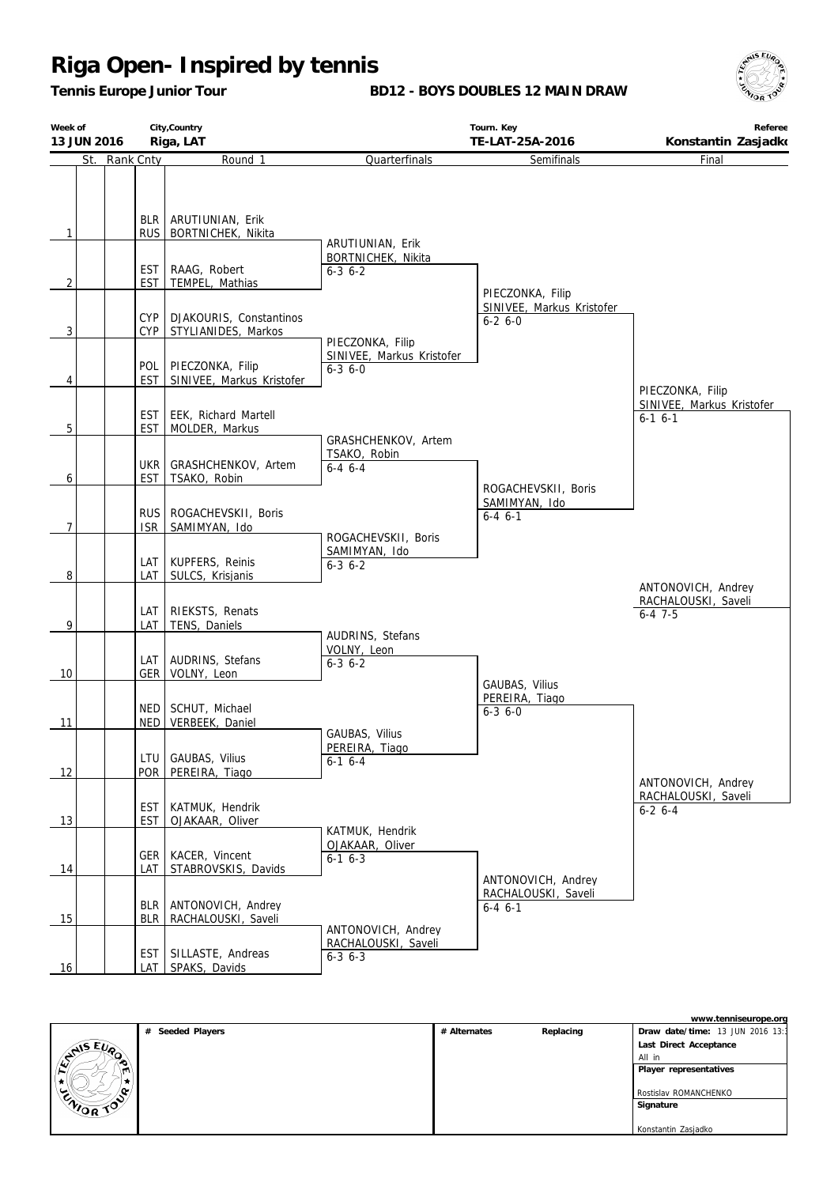*Tennis Europe Junior Tour*

**BD12 - BOYS DOUBLES 12 MAIN DRAW**



| Week of        | City, Country<br>Riga, LAT<br>13 JUN 2016 |                                                     | Tourn. Key<br>TE-LAT-25A-2016                                | Referee<br>Konstantin Zasjadko                              |                                                          |
|----------------|-------------------------------------------|-----------------------------------------------------|--------------------------------------------------------------|-------------------------------------------------------------|----------------------------------------------------------|
|                | St. Rank Cnty                             | Round 1                                             | Quarterfinals                                                | Semifinals                                                  | Final                                                    |
| $\mathbf{1}$   |                                           | BLR   ARUTIUNIAN, Erik<br>RUS   BORTNICHEK, Nikita  | ARUTIUNIAN, Erik<br>BORTNICHEK, Nikita                       |                                                             |                                                          |
| $\overline{2}$ | <b>EST</b><br><b>EST</b>                  | RAAG, Robert<br>TEMPEL, Mathias                     | $6 - 3$ $6 - 2$                                              | PIECZONKA, Filip                                            |                                                          |
| 3              | <b>CYP</b><br>CYP                         | DJAKOURIS, Constantinos<br>STYLIANIDES, Markos      | PIECZONKA, Filip                                             | SINIVEE, Markus Kristofer<br>$6 - 26 - 0$                   |                                                          |
| 4              | <b>EST</b>                                | POL   PIECZONKA, Filip<br>SINIVEE, Markus Kristofer | SINIVEE, Markus Kristofer<br>$6 - 3$ $6 - 0$                 |                                                             | PIECZONKA, Filip                                         |
| 5              | <b>EST</b>                                | EST   EEK, Richard Martell<br>MOLDER, Markus        |                                                              |                                                             | SINIVEE, Markus Kristofer<br>$6-1$ $6-1$                 |
| 6              | EST                                       | UKR GRASHCHENKOV, Artem<br>TSAKO, Robin             | GRASHCHENKOV, Artem<br>TSAKO, Robin<br>$6-4$ $6-4$           |                                                             |                                                          |
| 7              | <b>ISR</b>                                | RUS   ROGACHEVSKII, Boris<br>SAMIMYAN, Ido          | ROGACHEVSKII, Boris                                          | ROGACHEVSKII, Boris<br>SAMIMYAN, Ido<br>$6 - 4 \cdot 6 - 1$ |                                                          |
| 8              | LAT                                       | LAT   KUPFERS, Reinis<br>SULCS, Krisjanis           | SAMIMYAN, Ido<br>$6 - 3 6 - 2$                               |                                                             | ANTONOVICH, Andrey                                       |
| 9              | LAT                                       | LAT   RIEKSTS, Renats<br>TENS, Daniels              |                                                              |                                                             | RACHALOUSKI, Saveli<br>$6 - 4$ 7-5                       |
| 10             |                                           | LAT   AUDRINS, Stefans<br>GER   VOLNY, Leon         | AUDRINS, Stefans<br>VOLNY, Leon<br>$6 - 3 6 - 2$             |                                                             |                                                          |
| 11             | NED <sup>1</sup>                          | NED   SCHUT, Michael<br>VERBEEK, Daniel             |                                                              | GAUBAS, Vilius<br>PEREIRA, Tiago<br>$6 - 3$ $6 - 0$         |                                                          |
| 12             | POR                                       | LTU GAUBAS, Vilius<br>PEREIRA, Tiago                | GAUBAS, Vilius<br>PEREIRA, Tiago<br>$6-1$ 6-4                |                                                             |                                                          |
| 13             | <b>EST</b>                                | EST   KATMUK, Hendrik<br>OJAKAAR, Oliver            |                                                              |                                                             | ANTONOVICH, Andrey<br>RACHALOUSKI, Saveli<br>$6-2$ $6-4$ |
| 14             | LAT                                       | GER   KACER, Vincent<br>STABROVSKIS, Davids         | KATMUK, Hendrik<br>OJAKAAR, Oliver<br>$6-1$ $6-3$            |                                                             |                                                          |
| 15             | <b>BLR</b><br><b>BLR</b>                  | ANTONOVICH, Andrey<br>RACHALOUSKI, Saveli           |                                                              | ANTONOVICH, Andrey<br>RACHALOUSKI, Saveli<br>$6 - 4 6 - 1$  |                                                          |
| 16             | EST                                       | SILLASTE, Andreas<br>LAT   SPAKS, Davids            | ANTONOVICH, Andrey<br>RACHALOUSKI, Saveli<br>$6 - 3$ $6 - 3$ |                                                             |                                                          |

|               |                     |              |           | www.tenniseurope.org             |
|---------------|---------------------|--------------|-----------|----------------------------------|
|               | Seeded Players<br># | # Alternates | Replacing | Draw date/time: 13 JUN 2016 13:1 |
| <b>ANSEUP</b> |                     |              |           | Last Direct Acceptance           |
|               |                     |              |           | All in                           |
| m             |                     |              |           | Player representatives           |
| . .           |                     |              |           |                                  |
|               |                     |              |           | Rostislav ROMANCHENKO            |
| ENIOR TO      |                     |              |           | Signature                        |
|               |                     |              |           |                                  |
|               |                     |              |           | Konstantin Zasjadko              |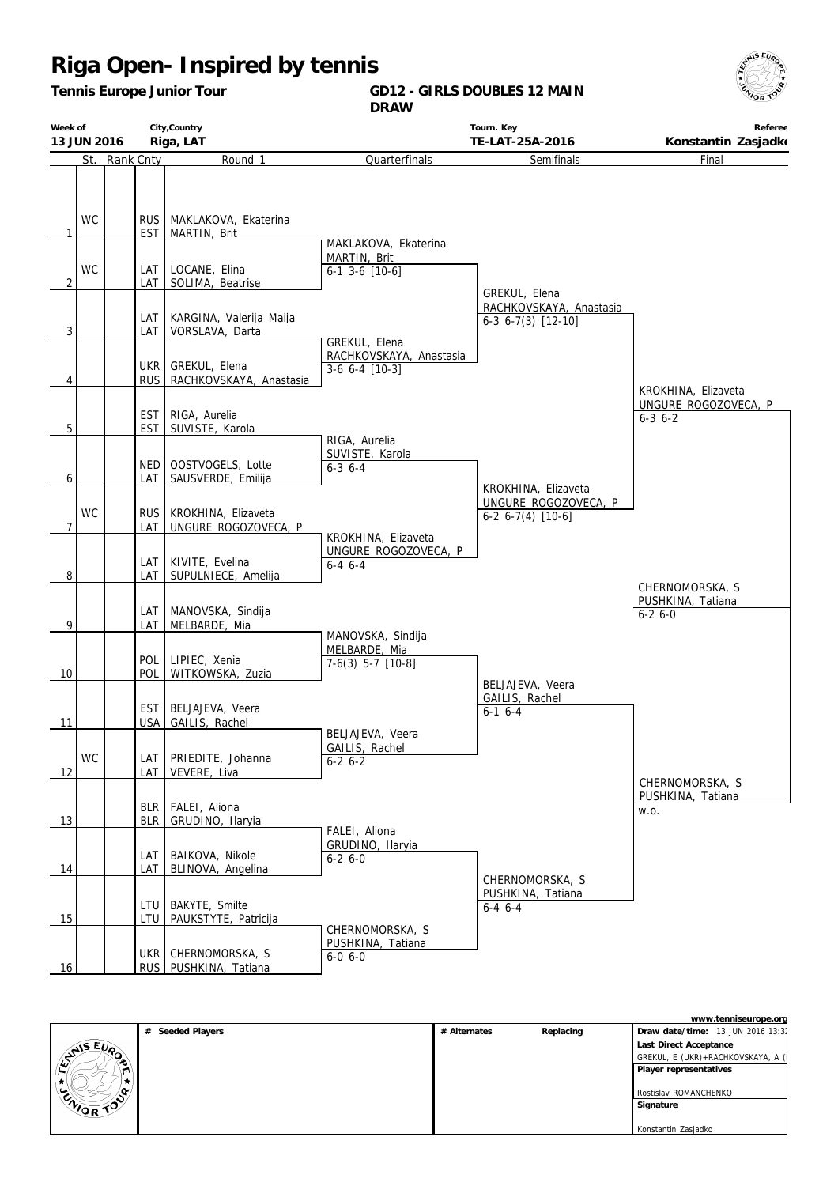*Tennis Europe Junior Tour*

**GD12 - GIRLS DOUBLES 12 MAIN DRAW**



| Week of<br>13 JUN 2016 |           | City, Country<br>Riga, LAT |                                                    |                                                            | Tourn. Key<br>TE-LAT-25A-2016                       | Referee<br>Konstantin Zasjadko               |
|------------------------|-----------|----------------------------|----------------------------------------------------|------------------------------------------------------------|-----------------------------------------------------|----------------------------------------------|
| St.                    | Rank Cnty |                            | Round 1                                            | Quarterfinals                                              | Semifinals                                          | Final                                        |
| WC<br>$\mathbf{1}$     |           | EST                        | RUS   MAKLAKOVA, Ekaterina<br>MARTIN, Brit         |                                                            |                                                     |                                              |
| <b>WC</b><br>2         |           | LAT I<br>LAT I             | LOCANE, Elina<br>SOLIMA, Beatrise                  | MAKLAKOVA, Ekaterina<br>MARTIN, Brit<br>$6-1$ 3-6 $[10-6]$ | GREKUL, Elena                                       |                                              |
| $\overline{3}$         |           | LAT<br>LAT                 | KARGINA, Valerija Maija<br>VORSLAVA, Darta         | GREKUL, Elena                                              | RACHKOVSKAYA, Anastasia<br>$6-3$ $6-7(3)$ $[12-10]$ |                                              |
| 4                      |           |                            | UKR GREKUL, Elena<br>RUS   RACHKOVSKAYA, Anastasia | RACHKOVSKAYA, Anastasia<br>$3-6$ 6-4 $[10-3]$              |                                                     | KROKHINA, Elizaveta                          |
| 5                      |           | EST<br><b>EST</b>          | RIGA, Aurelia<br>SUVISTE, Karola                   | RIGA, Aurelia                                              |                                                     | UNGURE ROGOZOVECA, P<br>$6 - 3$ $6 - 2$      |
| 6                      |           | LAT                        | NED   OOSTVOGELS, Lotte<br>SAUSVERDE, Emilija      | SUVISTE, Karola<br>$6 - 3$ $6 - 4$                         | KROKHINA, Elizaveta                                 |                                              |
| <b>WC</b><br>7         |           | LAT                        | RUS   KROKHINA, Elizaveta<br>UNGURE ROGOZOVECA, P  | KROKHINA, Elizaveta                                        | UNGURE ROGOZOVECA, P<br>$6-2$ $6-7(4)$ [10-6]       |                                              |
| 8                      |           | LAT<br>LAT                 | KIVITE, Evelina<br>SUPULNIECE, Amelija             | UNGURE ROGOZOVECA, P<br>$6 - 4 6 - 4$                      |                                                     | CHERNOMORSKA, S                              |
| 9                      |           | LAT<br>LAT                 | MANOVSKA, Sindija<br>MELBARDE, Mia                 | MANOVSKA, Sindija                                          |                                                     | PUSHKINA, Tatiana<br>$6 - 26 - 0$            |
| 10                     |           | POL                        | POL   LIPIEC, Xenia<br>WITKOWSKA, Zuzia            | MELBARDE, Mia<br>$7-6(3)$ 5-7 $[10-8]$                     |                                                     |                                              |
| 11                     |           | USA                        | EST   BELJAJEVA, Veera<br>GAILIS, Rachel           |                                                            | BELJAJEVA, Veera<br>GAILIS, Rachel<br>$6-1$ $6-4$   |                                              |
| WC<br>12               |           | LAT<br>LAT                 | PRIEDITE, Johanna<br>VEVERE, Liva                  | BELJAJEVA, Veera<br>GAILIS, Rachel<br>$6-2$ 6-2            |                                                     |                                              |
| 13                     |           | BLR                        | BLR   FALEI, Aliona<br>GRUDINO, Ilaryia            |                                                            |                                                     | CHERNOMORSKA, S<br>PUSHKINA, Tatiana<br>W.O. |
| 14                     |           | LAT<br>LAT                 | BAIKOVA, Nikole<br>BLINOVA, Angelina               | FALEI, Aliona<br>GRUDINO, Ilaryia<br>$6-26-0$              |                                                     |                                              |
| 15                     |           | LTU<br>LTU                 | BAKYTE, Smilte<br>PAUKSTYTE, Patricija             | CHERNOMORSKA, S                                            | CHERNOMORSKA, S<br>PUSHKINA, Tatiana<br>$6-4$ $6-4$ |                                              |
| 16                     |           |                            | UKR   CHERNOMORSKA, S<br>RUS PUSHKINA, Tatiana     | PUSHKINA, Tatiana<br>6-0 6-0                               |                                                     |                                              |

|                              |                  |              |           | www.tenniseurope.org              |
|------------------------------|------------------|--------------|-----------|-----------------------------------|
|                              | # Seeded Players | # Alternates | Replacing | Draw date/time: 13 JUN 2016 13:31 |
| <b>SAISEUP</b>               |                  |              |           | Last Direct Acceptance            |
|                              |                  |              |           | GREKUL, E (UKR)+RACHKOVSKAYA, A ( |
|                              |                  |              |           | Player representatives            |
|                              |                  |              |           |                                   |
|                              |                  |              |           | I Rostislav ROMANCHENKO           |
| <b>ENOR</b><br>$\mathscr{A}$ |                  |              |           | Signature                         |
|                              |                  |              |           |                                   |
|                              |                  |              |           | Konstantin Zasjadko               |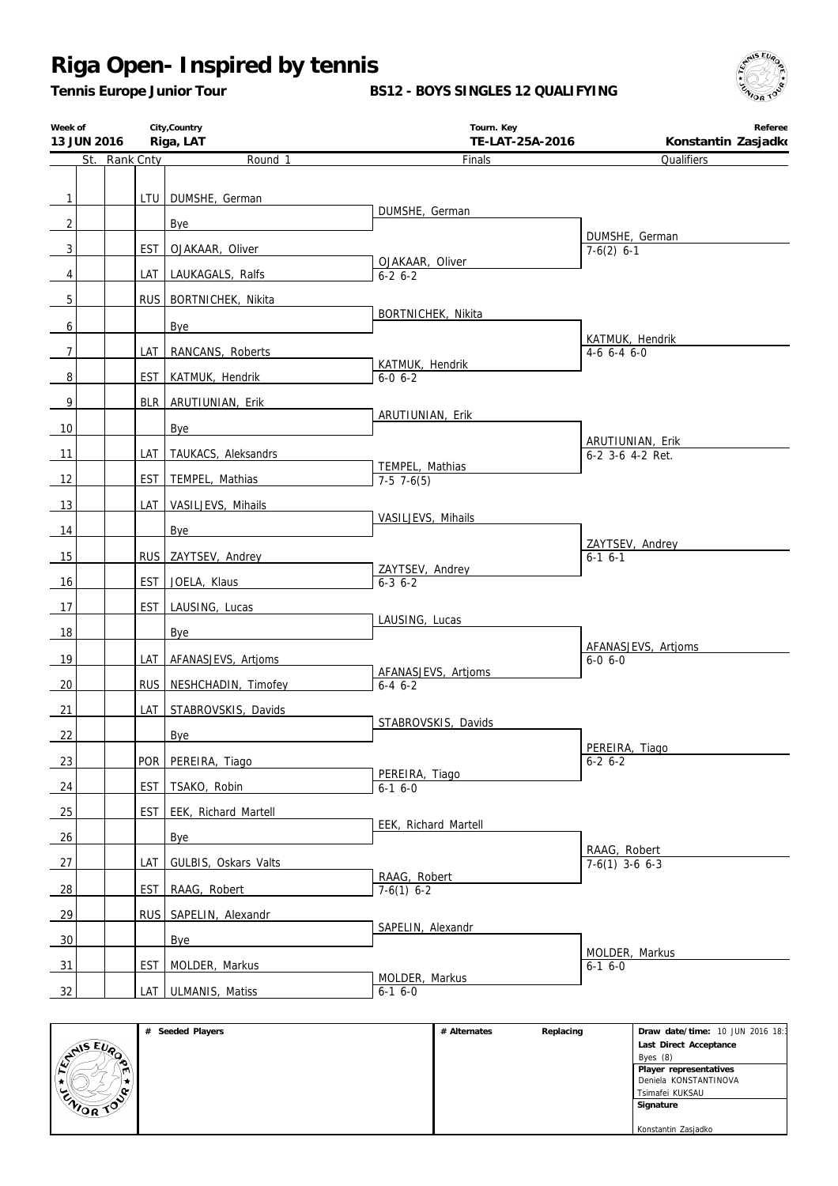*Tennis Europe Junior Tour*

**BS12 - BOYS SINGLES 12 QUALIFYING**



| Week of<br>13 JUN 2016 |               | City, Country<br>Riga, LAT | Tourn. Key<br>TE-LAT-25A-2016    | Referee<br>Konstantin Zasjadko   |
|------------------------|---------------|----------------------------|----------------------------------|----------------------------------|
|                        | St. Rank Cnty | Round 1                    | <b>Finals</b>                    | Qualifiers                       |
|                        |               |                            |                                  |                                  |
| $\mathbf{1}$           |               | LTU   DUMSHE, German       | DUMSHE, German                   |                                  |
| $\overline{2}$         |               | Bye                        |                                  | DUMSHE, German                   |
| $\overline{3}$         | <b>EST</b>    | OJAKAAR, Oliver            |                                  | $7-6(2)$ 6-1                     |
| 4                      | <b>LAT</b>    | LAUKAGALS, Ralfs           | OJAKAAR, Oliver<br>$6 - 2 6 - 2$ |                                  |
| $\overline{5}$         |               | RUS   BORTNICHEK, Nikita   |                                  |                                  |
| 6                      |               | Bye                        | BORTNICHEK, Nikita               |                                  |
| $\boldsymbol{7}$       | LAT I         | RANCANS, Roberts           |                                  | KATMUK, Hendrik<br>$4-6$ 6-4 6-0 |
| 8                      | EST           |                            | KATMUK, Hendrik<br>$6 - 0 6 - 2$ |                                  |
|                        |               | KATMUK, Hendrik            |                                  |                                  |
| 9                      | BLR           | ARUTIUNIAN, Erik           | ARUTIUNIAN, Erik                 |                                  |
| 10                     |               | Bye                        |                                  | ARUTIUNIAN, Erik                 |
| 11                     | LAT           | TAUKACS, Aleksandrs        | TEMPEL, Mathias                  | 6-2 3-6 4-2 Ret.                 |
| 12                     | <b>EST</b>    | TEMPEL, Mathias            | $7-5$ 7 $-6(5)$                  |                                  |
| 13                     | LAT           | VASILJEVS, Mihails         |                                  |                                  |
| 14                     |               | Bye                        | VASILJEVS, Mihails               |                                  |
| 15                     |               | RUS ZAYTSEV, Andrey        |                                  | ZAYTSEV, Andrey<br>$6-1$ $6-1$   |
| 16                     | <b>EST</b>    | JOELA, Klaus               | ZAYTSEV, Andrey<br>$6 - 3 6 - 2$ |                                  |
|                        |               |                            |                                  |                                  |
| 17                     | <b>EST</b>    | LAUSING, Lucas             | LAUSING, Lucas                   |                                  |
| 18                     |               | Bye                        |                                  | AFANASJEVS, Artjoms              |
| 19                     | LAT           | AFANASJEVS, Artjoms        | AFANASJEVS, Artjoms              | $6 - 0 6 - 0$                    |
| 20                     | <b>RUS</b>    | NESHCHADIN, Timofey        | $6 - 4 \quad 6 - 2$              |                                  |
| 21                     | LAT           | STABROVSKIS, Davids        |                                  |                                  |
| 22                     |               | Bye                        | STABROVSKIS, Davids              |                                  |
| 23                     |               | POR PEREIRA, Tiago         |                                  | PEREIRA, Tiago<br>$6 - 2 6 - 2$  |
| 24                     |               | EST   TSAKO, Robin         | PEREIRA, Tiago<br>$6-16-0$       |                                  |
| 25                     |               | EST   EEK, Richard Martell |                                  |                                  |
|                        |               |                            | EEK, Richard Martell             |                                  |
| 26                     |               | Bye                        |                                  | RAAG, Robert                     |
| 27                     | LAT           | GULBIS, Oskars Valts       | RAAG, Robert                     | $7-6(1)$ 3-6 6-3                 |
| 28                     | <b>EST</b>    | RAAG, Robert               | $7-6(1)$ 6-2                     |                                  |
| 29                     |               | RUS SAPELIN, Alexandr      |                                  |                                  |
| 30                     |               | Bye                        | SAPELIN, Alexandr                |                                  |
| 31                     | <b>EST</b>    | MOLDER, Markus             |                                  | MOLDER, Markus<br>$6-1$ $6-0$    |
| 32                     |               | LAT ULMANIS, Matiss        | MOLDER, Markus<br>$6-1$ $6-0$    |                                  |

|                      | Seeded Players<br># | # Alternates | Replacing | Draw date/time: 10 JUN 2016 18:1 |
|----------------------|---------------------|--------------|-----------|----------------------------------|
|                      |                     |              |           | Last Direct Acceptance           |
| <b>SNIS EUR</b><br>∾ |                     |              |           | Byes $(8)$                       |
| m                    |                     |              |           | Player representatives           |
|                      |                     |              |           | Deniela KONSTANTINOVA            |
| n.<br>پ              |                     |              |           | Tsimafei KUKSAU                  |
| CNIOR TOP            |                     |              |           | Signature                        |
|                      |                     |              |           |                                  |
|                      |                     |              |           | Konstantin Zasjadko              |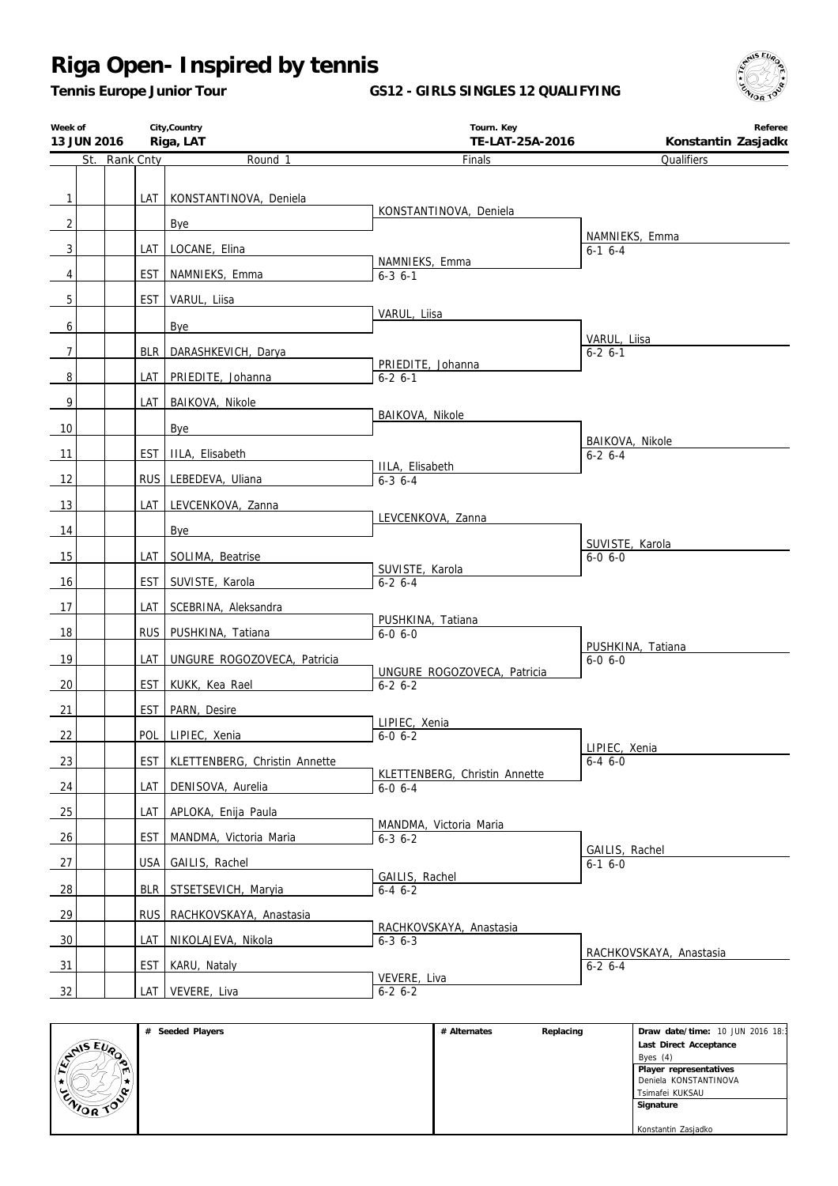*Tennis Europe Junior Tour*

**GS12 - GIRLS SINGLES 12 QUALIFYING**



|                | City, Country<br>Week of<br>13 JUN 2016<br>Riga, LAT |               |            | Tourn. Key<br>TE-LAT-25A-2016 | Referee<br>Konstantin Zasjadko                 |                                     |
|----------------|------------------------------------------------------|---------------|------------|-------------------------------|------------------------------------------------|-------------------------------------|
|                |                                                      | St. Rank Cnty |            | Round 1                       | Finals                                         | Qualifiers                          |
|                |                                                      |               |            |                               |                                                |                                     |
| $\mathbf{1}$   |                                                      |               |            | LAT   KONSTANTINOVA, Deniela  | KONSTANTINOVA, Deniela                         |                                     |
| $\overline{2}$ |                                                      |               |            | Bye                           |                                                |                                     |
| $\mathbf{3}$   |                                                      |               |            | LAT   LOCANE, Elina           |                                                | NAMNIEKS, Emma<br>$6-1$ $6-4$       |
| $\overline{4}$ |                                                      |               | EST        | NAMNIEKS, Emma                | NAMNIEKS, Emma<br>$6 - 36 - 1$                 |                                     |
|                |                                                      |               |            |                               |                                                |                                     |
| 5              |                                                      |               | EST        | VARUL, Liisa                  | VARUL, Liisa                                   |                                     |
| 6              |                                                      |               |            | Bye                           |                                                | VARUL, Liisa                        |
| $\overline{7}$ |                                                      |               | BLR        | DARASHKEVICH, Darya           |                                                | $6 - 2 6 - 1$                       |
| 8              |                                                      |               | LAT I      | PRIEDITE, Johanna             | PRIEDITE, Johanna<br>$6 - 2 6 - 1$             |                                     |
| $\mathbf{9}$   |                                                      |               | LAT        | BAIKOVA, Nikole               |                                                |                                     |
|                |                                                      |               |            |                               | <b>BAIKOVA, Nikole</b>                         |                                     |
| 10             |                                                      |               |            | Bye                           |                                                | <b>BAIKOVA, Nikole</b>              |
| 11             |                                                      |               | EST        | IILA, Elisabeth               | IILA, Elisabeth                                | $6 - 2 6 - 4$                       |
| 12             |                                                      |               |            | RUS LEBEDEVA, Uliana          | $6 - 36 - 4$                                   |                                     |
| 13             |                                                      |               | LAT I      | LEVCENKOVA, Zanna             |                                                |                                     |
| 14             |                                                      |               |            | Bye                           | LEVCENKOVA, Zanna                              |                                     |
|                |                                                      |               |            |                               |                                                | SUVISTE, Karola                     |
| 15             |                                                      |               | LAT        | SOLIMA, Beatrise              | SUVISTE, Karola                                | $6 - 0 6 - 0$                       |
| 16             |                                                      |               | EST        | SUVISTE, Karola               | $6 - 26 - 4$                                   |                                     |
| 17             |                                                      |               | LAT        | SCEBRINA, Aleksandra          |                                                |                                     |
| 18             |                                                      |               | RUS        | PUSHKINA, Tatiana             | PUSHKINA, Tatiana<br>$6 - 0 6 - 0$             |                                     |
| 19             |                                                      |               | LAT        | UNGURE ROGOZOVECA, Patricia   |                                                | PUSHKINA, Tatiana<br>$6 - 0, 6 - 0$ |
|                |                                                      |               | EST        |                               | UNGURE ROGOZOVECA, Patricia                    |                                     |
| 20             |                                                      |               |            | KUKK, Kea Rael                | $6-2$ $6-2$                                    |                                     |
| 21             |                                                      |               | <b>EST</b> | PARN, Desire                  | LIPIEC, Xenia                                  |                                     |
| 22             |                                                      |               | POL        | LIPIEC, Xenia                 | $6 - 0 6 - 2$                                  | LIPIEC, Xenia                       |
| 23             |                                                      |               | <b>EST</b> | KLETTENBERG, Christin Annette |                                                | $6-46-0$                            |
| 24             |                                                      |               | LAT        | DENISOVA, Aurelia             | KLETTENBERG, Christin Annette<br>$6 - 0 6 - 4$ |                                     |
| 25             |                                                      |               | LAT        | APLOKA, Enija Paula           |                                                |                                     |
|                |                                                      |               |            |                               | MANDMA, Victoria Maria                         |                                     |
| 26             |                                                      |               | EST        | MANDMA, Victoria Maria        | $6 - 3$ $6 - 2$                                | GAILIS, Rachel                      |
| 27             |                                                      |               | USA        | GAILIS, Rachel                | GAILIS, Rachel                                 | $6 - 16 - 0$                        |
| $\frac{28}{ }$ |                                                      |               | <b>BLR</b> | STSETSEVICH, Maryia           | $6-46-2$                                       |                                     |
| <u>29</u>      |                                                      |               | rus.       | RACHKOVSKAYA, Anastasia       |                                                |                                     |
| 30             |                                                      |               | LAT        | NIKOLAJEVA, Nikola            | RACHKOVSKAYA, Anastasia                        |                                     |
|                |                                                      |               |            |                               | $6 - 3$ $6 - 3$                                | RACHKOVSKAYA, Anastasia             |
| 31             |                                                      |               | <b>EST</b> | KARU, Nataly                  | VEVERE, Liva                                   | $6 - 2 6 - 4$                       |
| 32             |                                                      |               | LAT I      | VEVERE, Liva                  | $6-2$ 6-2                                      |                                     |

|                | # Seeded Players | # Alternates | Replacing | Draw date/time: 10 JUN 2016 18:1 |
|----------------|------------------|--------------|-----------|----------------------------------|
| <b>AIS EVA</b> |                  |              |           | Last Direct Acceptance           |
| œ              |                  |              |           | Byes $(4)$                       |
| m              |                  |              |           | Player representatives           |
|                |                  |              |           | Deniela KONSTANTINOVA            |
| $\sim$         |                  |              |           | Tsimafei KUKSAU                  |
| ENIOR TOP      |                  |              |           | Signature                        |
|                |                  |              |           |                                  |
|                |                  |              |           | Konstantin Zasjadko              |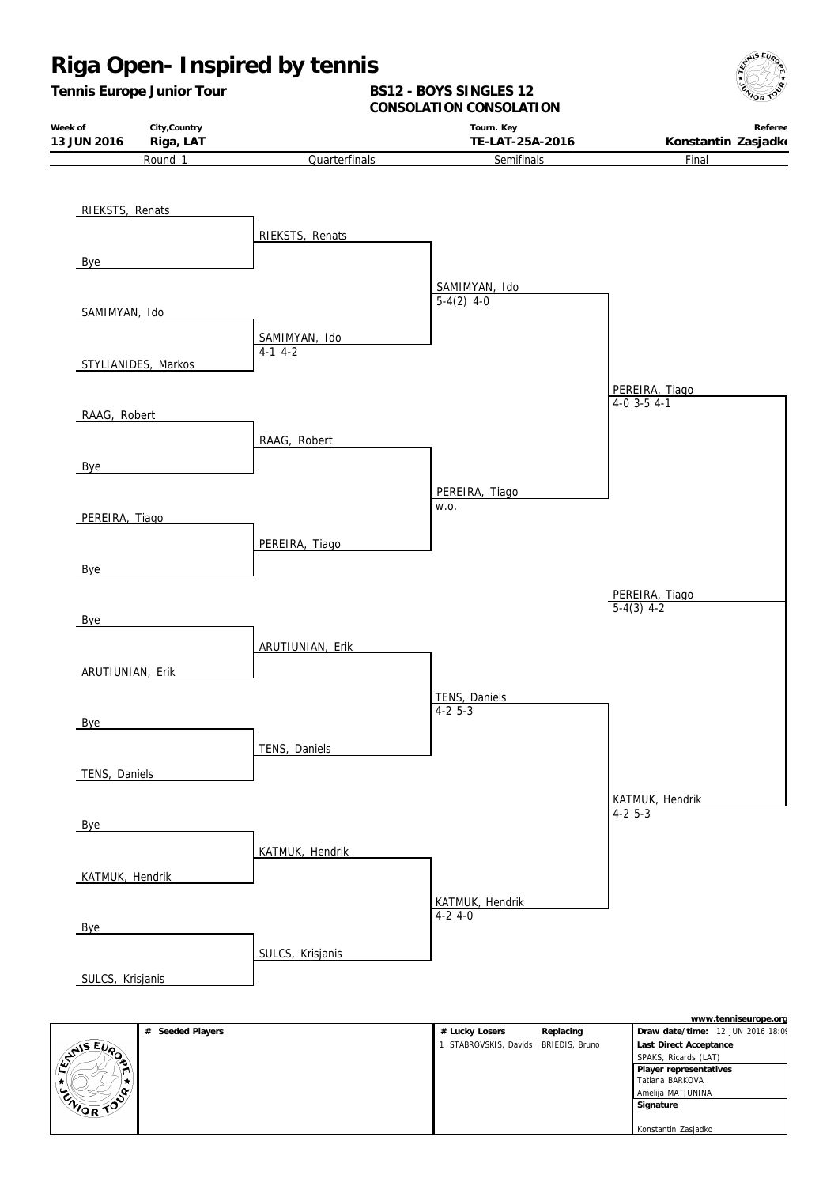### **Riga Open- Inspired by tennis** *Tennis Europe Junior Tour* **BS12 - BOYS SINGLES 12 CONSOLATION CONSOLATION**



| RIEKSTS, Renats     |                  |                 |                      |
|---------------------|------------------|-----------------|----------------------|
|                     | RIEKSTS, Renats  |                 |                      |
| Bye                 |                  |                 |                      |
|                     |                  | SAMIMYAN, Ido   |                      |
| SAMIMYAN, Ido       |                  | $5-4(2)$ 4-0    |                      |
|                     | SAMIMYAN, Ido    |                 |                      |
| STYLIANIDES, Markos | $4-1$ 4-2        |                 |                      |
|                     |                  |                 | PEREIRA, Tiago       |
| RAAG, Robert        |                  |                 | $4-0$ 3-5 $4-1$      |
|                     | RAAG, Robert     |                 |                      |
| <b>Bye</b>          |                  |                 |                      |
|                     |                  | PEREIRA, Tiago  |                      |
| PEREIRA, Tiago      |                  | W.O.            |                      |
|                     | PEREIRA, Tiago   |                 |                      |
| <b>Bye</b>          |                  |                 |                      |
|                     |                  |                 | PEREIRA, Tiago       |
| <b>Bye</b>          |                  |                 | $5-4(3)$ 4-2         |
|                     | ARUTIUNIAN, Erik |                 |                      |
| ARUTIUNIAN, Erik    |                  |                 |                      |
|                     |                  | TENS, Daniels   |                      |
| Bye                 |                  | $4-25-3$        |                      |
|                     | TENS, Daniels    |                 |                      |
| TENS, Daniels       |                  |                 |                      |
|                     |                  |                 | KATMUK, Hendrik      |
| Bye                 |                  |                 | $4-25-3$             |
|                     | KATMUK, Hendrik  |                 |                      |
| KATMUK, Hendrik     |                  |                 |                      |
|                     |                  | KATMUK, Hendrik |                      |
| Bye                 |                  | $4-2$ 4-0       |                      |
|                     | SULCS, Krisjanis |                 |                      |
| SULCS, Krisjanis    |                  |                 |                      |
|                     |                  |                 |                      |
|                     |                  |                 | www.tenniseurope.org |

|                  | # Seeded Players | # Lucky Losers                     | Replacing | Draw date/time: 12 JUN 2016 18:0 |
|------------------|------------------|------------------------------------|-----------|----------------------------------|
| ANSEIR           |                  | STABROVSKIS, Davids BRIEDIS, Bruno |           | Last Direct Acceptance           |
| æ.               |                  |                                    |           | SPAKS, Ricards (LAT)             |
| m                |                  |                                    |           | Player representatives           |
|                  |                  |                                    |           | Tatiana BARKOVA                  |
| 'N               |                  |                                    |           | Amelija MATJUNINA                |
| <b>ENIOR TOP</b> |                  |                                    |           | Signature                        |
|                  |                  |                                    |           |                                  |
|                  |                  |                                    |           | Konstantin Zasjadko              |